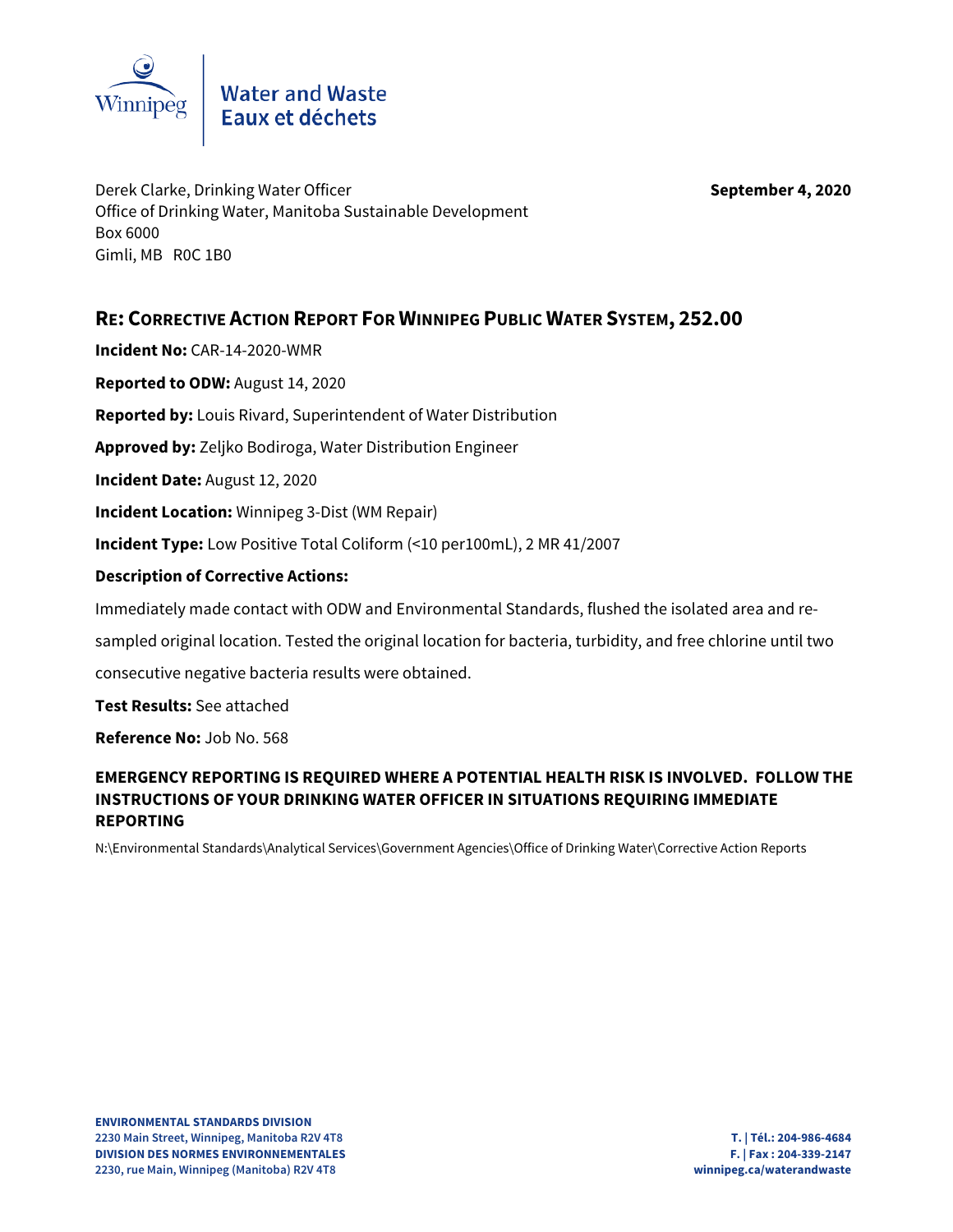

# Water and Waste<br>Eaux et déchets

Derek Clarke, Drinking Water Officer **September 4, 2020** Office of Drinking Water, Manitoba Sustainable Development Box 6000 Gimli, MB R0C 1B0

## **RE: CORRECTIVE ACTION REPORT FOR WINNIPEG PUBLIC WATER SYSTEM, 252.00**

**Incident No:** CAR-14-2020-WMR

**Reported to ODW:** August 14, 2020

**Reported by:** Louis Rivard, Superintendent of Water Distribution

**Approved by:** Zeljko Bodiroga, Water Distribution Engineer

**Incident Date:** August 12, 2020

**Incident Location:** Winnipeg 3-Dist (WM Repair)

**Incident Type:** Low Positive Total Coliform (<10 per100mL), 2 MR 41/2007

### **Description of Corrective Actions:**

Immediately made contact with ODW and Environmental Standards, flushed the isolated area and re-

sampled original location. Tested the original location for bacteria, turbidity, and free chlorine until two

consecutive negative bacteria results were obtained.

**Test Results:** See attached

**Reference No:** Job No. 568

### **EMERGENCY REPORTING IS REQUIRED WHERE A POTENTIAL HEALTH RISK IS INVOLVED. FOLLOW THE INSTRUCTIONS OF YOUR DRINKING WATER OFFICER IN SITUATIONS REQUIRING IMMEDIATE REPORTING**

N:\Environmental Standards\Analytical Services\Government Agencies\Office of Drinking Water\Corrective Action Reports